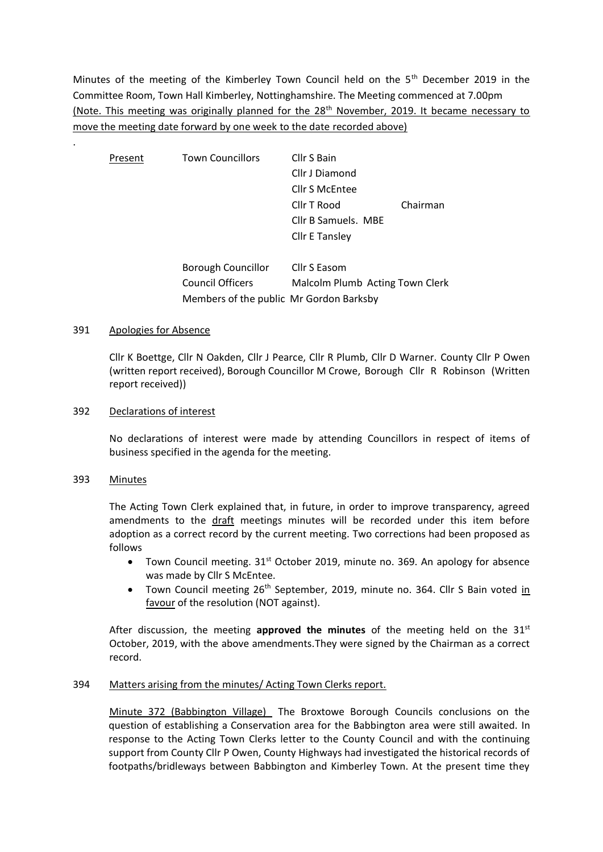Minutes of the meeting of the Kimberley Town Council held on the  $5<sup>th</sup>$  December 2019 in the Committee Room, Town Hall Kimberley, Nottinghamshire. The Meeting commenced at 7.00pm (Note. This meeting was originally planned for the 28<sup>th</sup> November, 2019. It became necessary to move the meeting date forward by one week to the date recorded above)

| Present | <b>Town Councillors</b>                 | Cllr S Bain                     |          |
|---------|-----------------------------------------|---------------------------------|----------|
|         |                                         | Cllr J Diamond                  |          |
|         |                                         | Cllr S McEntee                  |          |
|         |                                         | Cllr T Rood                     | Chairman |
|         |                                         | Cllr B Samuels. MBE             |          |
|         |                                         | <b>Cllr E Tansley</b>           |          |
|         | Borough Councillor                      | Cllr S Easom                    |          |
|         | Council Officers                        | Malcolm Plumb Acting Town Clerk |          |
|         | Members of the public Mr Gordon Barksby |                                 |          |

## 391 Apologies for Absence

Cllr K Boettge, Cllr N Oakden, Cllr J Pearce, Cllr R Plumb, Cllr D Warner. County Cllr P Owen (written report received), Borough Councillor M Crowe, Borough Cllr R Robinson (Written report received))

### 392 Declarations of interest

No declarations of interest were made by attending Councillors in respect of items of business specified in the agenda for the meeting.

#### 393 Minutes

.

The Acting Town Clerk explained that, in future, in order to improve transparency, agreed amendments to the draft meetings minutes will be recorded under this item before adoption as a correct record by the current meeting. Two corrections had been proposed as follows

- Town Council meeting.  $31<sup>st</sup>$  October 2019, minute no. 369. An apology for absence was made by Cllr S McEntee.
- Town Council meeting 26<sup>th</sup> September, 2019, minute no. 364. Cllr S Bain voted in favour of the resolution (NOT against).

After discussion, the meeting **approved the minutes** of the meeting held on the 31st October, 2019, with the above amendments.They were signed by the Chairman as a correct record.

## 394 Matters arising from the minutes/ Acting Town Clerks report.

Minute 372 (Babbington Village) The Broxtowe Borough Councils conclusions on the question of establishing a Conservation area for the Babbington area were still awaited. In response to the Acting Town Clerks letter to the County Council and with the continuing support from County Cllr P Owen, County Highways had investigated the historical records of footpaths/bridleways between Babbington and Kimberley Town. At the present time they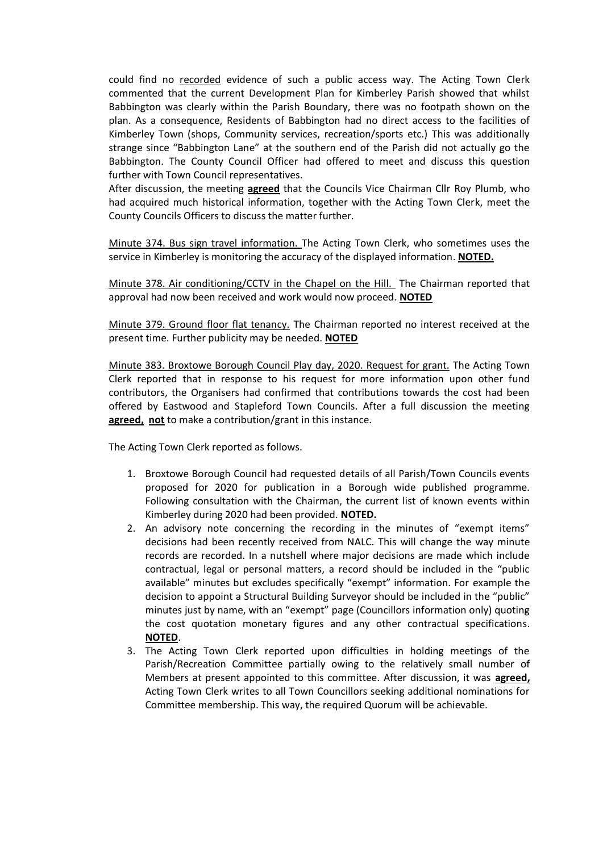could find no recorded evidence of such a public access way. The Acting Town Clerk commented that the current Development Plan for Kimberley Parish showed that whilst Babbington was clearly within the Parish Boundary, there was no footpath shown on the plan. As a consequence, Residents of Babbington had no direct access to the facilities of Kimberley Town (shops, Community services, recreation/sports etc.) This was additionally strange since "Babbington Lane" at the southern end of the Parish did not actually go the Babbington. The County Council Officer had offered to meet and discuss this question further with Town Council representatives.

After discussion, the meeting **agreed** that the Councils Vice Chairman Cllr Roy Plumb, who had acquired much historical information, together with the Acting Town Clerk, meet the County Councils Officers to discuss the matter further.

Minute 374. Bus sign travel information. The Acting Town Clerk, who sometimes uses the service in Kimberley is monitoring the accuracy of the displayed information. **NOTED.**

Minute 378. Air conditioning/CCTV in the Chapel on the Hill. The Chairman reported that approval had now been received and work would now proceed. **NOTED**

Minute 379. Ground floor flat tenancy. The Chairman reported no interest received at the present time. Further publicity may be needed. **NOTED**

Minute 383. Broxtowe Borough Council Play day, 2020. Request for grant. The Acting Town Clerk reported that in response to his request for more information upon other fund contributors, the Organisers had confirmed that contributions towards the cost had been offered by Eastwood and Stapleford Town Councils. After a full discussion the meeting **agreed, not** to make a contribution/grant in this instance.

The Acting Town Clerk reported as follows.

- 1. Broxtowe Borough Council had requested details of all Parish/Town Councils events proposed for 2020 for publication in a Borough wide published programme. Following consultation with the Chairman, the current list of known events within Kimberley during 2020 had been provided. **NOTED.**
- 2. An advisory note concerning the recording in the minutes of "exempt items" decisions had been recently received from NALC. This will change the way minute records are recorded. In a nutshell where major decisions are made which include contractual, legal or personal matters, a record should be included in the "public available" minutes but excludes specifically "exempt" information. For example the decision to appoint a Structural Building Surveyor should be included in the "public" minutes just by name, with an "exempt" page (Councillors information only) quoting the cost quotation monetary figures and any other contractual specifications. **NOTED**.
- 3. The Acting Town Clerk reported upon difficulties in holding meetings of the Parish/Recreation Committee partially owing to the relatively small number of Members at present appointed to this committee. After discussion, it was **agreed,** Acting Town Clerk writes to all Town Councillors seeking additional nominations for Committee membership. This way, the required Quorum will be achievable.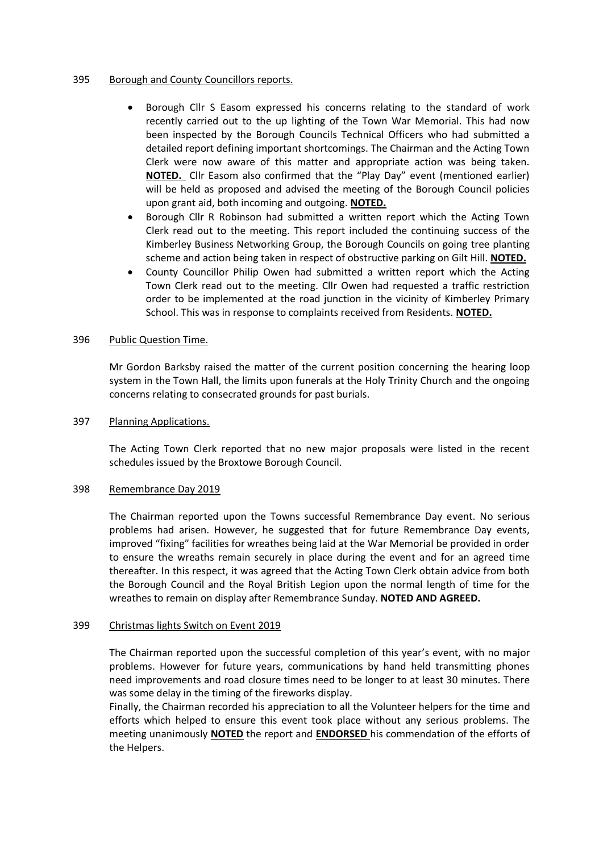## 395 Borough and County Councillors reports.

- Borough Cllr S Easom expressed his concerns relating to the standard of work recently carried out to the up lighting of the Town War Memorial. This had now been inspected by the Borough Councils Technical Officers who had submitted a detailed report defining important shortcomings. The Chairman and the Acting Town Clerk were now aware of this matter and appropriate action was being taken. **NOTED.** Cllr Easom also confirmed that the "Play Day" event (mentioned earlier) will be held as proposed and advised the meeting of the Borough Council policies upon grant aid, both incoming and outgoing. **NOTED.**
- Borough Cllr R Robinson had submitted a written report which the Acting Town Clerk read out to the meeting. This report included the continuing success of the Kimberley Business Networking Group, the Borough Councils on going tree planting scheme and action being taken in respect of obstructive parking on Gilt Hill. **NOTED.**
- County Councillor Philip Owen had submitted a written report which the Acting Town Clerk read out to the meeting. Cllr Owen had requested a traffic restriction order to be implemented at the road junction in the vicinity of Kimberley Primary School. This was in response to complaints received from Residents. **NOTED.**

### 396 Public Question Time.

Mr Gordon Barksby raised the matter of the current position concerning the hearing loop system in the Town Hall, the limits upon funerals at the Holy Trinity Church and the ongoing concerns relating to consecrated grounds for past burials.

### 397 Planning Applications.

The Acting Town Clerk reported that no new major proposals were listed in the recent schedules issued by the Broxtowe Borough Council.

#### 398 Remembrance Day 2019

The Chairman reported upon the Towns successful Remembrance Day event. No serious problems had arisen. However, he suggested that for future Remembrance Day events, improved "fixing" facilities for wreathes being laid at the War Memorial be provided in order to ensure the wreaths remain securely in place during the event and for an agreed time thereafter. In this respect, it was agreed that the Acting Town Clerk obtain advice from both the Borough Council and the Royal British Legion upon the normal length of time for the wreathes to remain on display after Remembrance Sunday. **NOTED AND AGREED.**

#### 399 Christmas lights Switch on Event 2019

The Chairman reported upon the successful completion of this year's event, with no major problems. However for future years, communications by hand held transmitting phones need improvements and road closure times need to be longer to at least 30 minutes. There was some delay in the timing of the fireworks display.

Finally, the Chairman recorded his appreciation to all the Volunteer helpers for the time and efforts which helped to ensure this event took place without any serious problems. The meeting unanimously **NOTED** the report and **ENDORSED** his commendation of the efforts of the Helpers.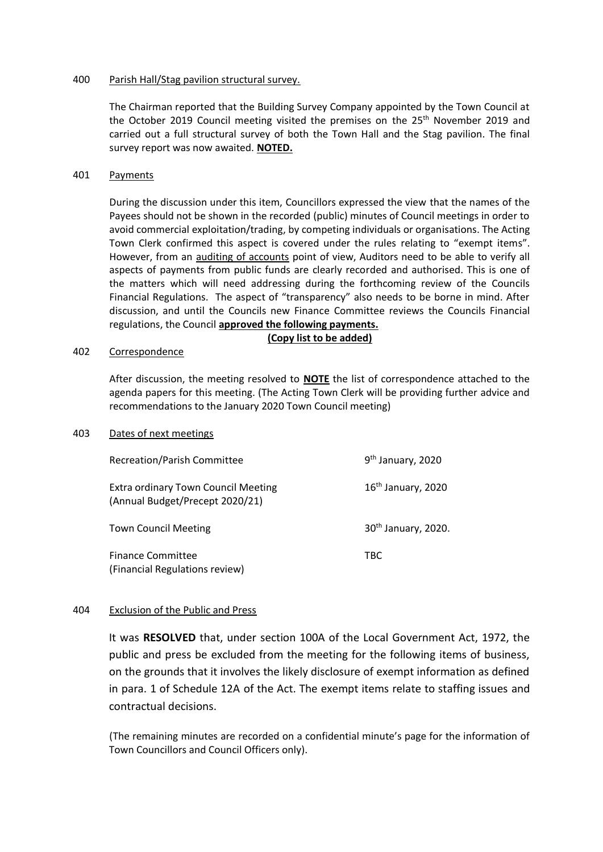## 400 Parish Hall/Stag pavilion structural survey.

The Chairman reported that the Building Survey Company appointed by the Town Council at the October 2019 Council meeting visited the premises on the 25<sup>th</sup> November 2019 and carried out a full structural survey of both the Town Hall and the Stag pavilion. The final survey report was now awaited. **NOTED.**

# 401 Payments

During the discussion under this item, Councillors expressed the view that the names of the Payees should not be shown in the recorded (public) minutes of Council meetings in order to avoid commercial exploitation/trading, by competing individuals or organisations. The Acting Town Clerk confirmed this aspect is covered under the rules relating to "exempt items". However, from an auditing of accounts point of view, Auditors need to be able to verify all aspects of payments from public funds are clearly recorded and authorised. This is one of the matters which will need addressing during the forthcoming review of the Councils Financial Regulations. The aspect of "transparency" also needs to be borne in mind. After discussion, and until the Councils new Finance Committee reviews the Councils Financial regulations, the Council **approved the following payments.**

### **(Copy list to be added)**

#### 402 Correspondence

After discussion, the meeting resolved to **NOTE** the list of correspondence attached to the agenda papers for this meeting. (The Acting Town Clerk will be providing further advice and recommendations to the January 2020 Town Council meeting)

#### 403 Dates of next meetings

| <b>Recreation/Parish Committee</b>                                            | 9 <sup>th</sup> January, 2020   |
|-------------------------------------------------------------------------------|---------------------------------|
| <b>Extra ordinary Town Council Meeting</b><br>(Annual Budget/Precept 2020/21) | $16th$ January, 2020            |
| <b>Town Council Meeting</b>                                                   | 30 <sup>th</sup> January, 2020. |
| <b>Finance Committee</b><br>(Financial Regulations review)                    | <b>TBC</b>                      |

## 404 Exclusion of the Public and Press

It was **RESOLVED** that, under section 100A of the Local Government Act, 1972, the public and press be excluded from the meeting for the following items of business, on the grounds that it involves the likely disclosure of exempt information as defined in para. 1 of Schedule 12A of the Act. The exempt items relate to staffing issues and contractual decisions.

(The remaining minutes are recorded on a confidential minute's page for the information of Town Councillors and Council Officers only).